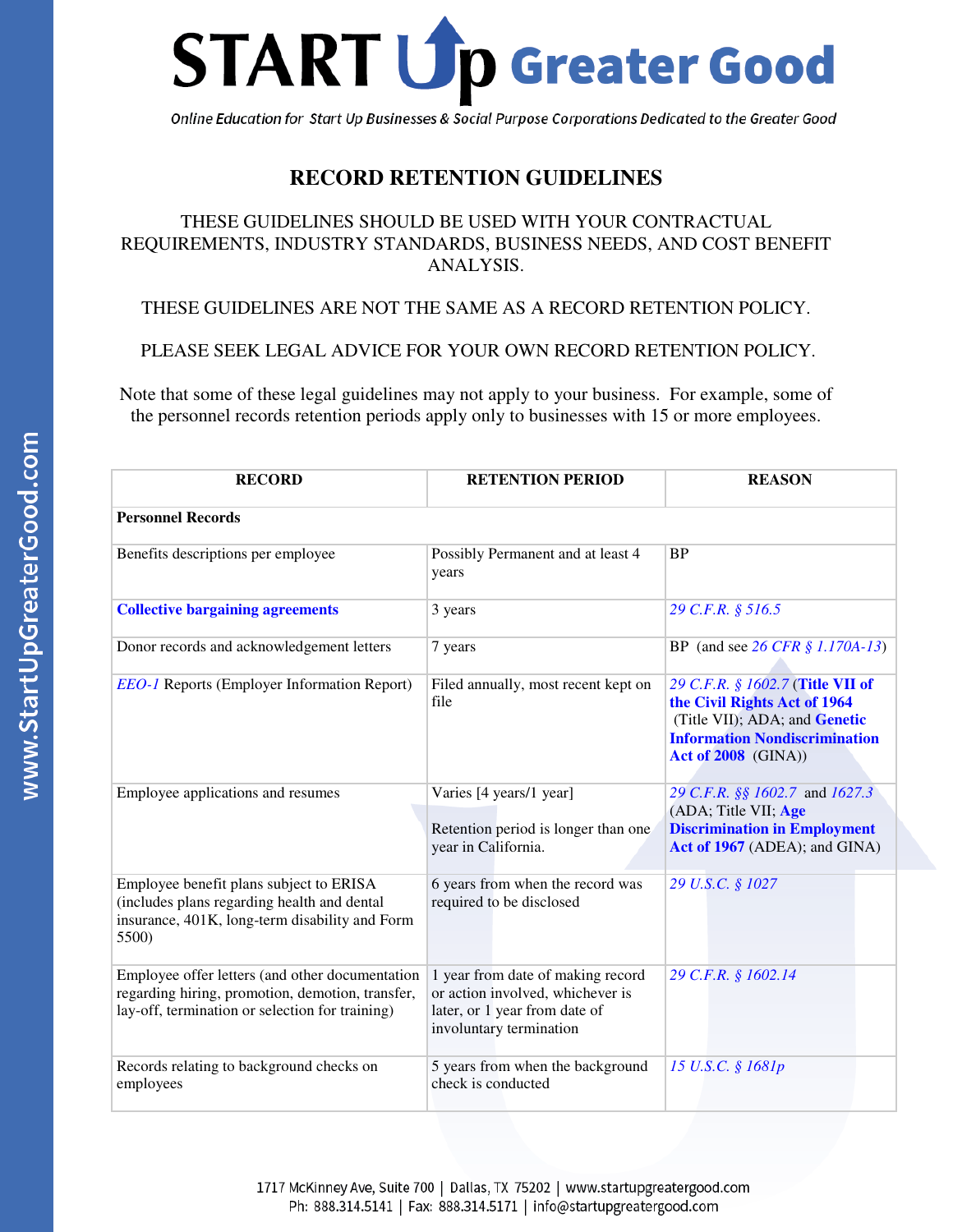

Online Education for Start Up Businesses & Social Purpose Corporations Dedicated to the Greater Good

#### **RECORD RETENTION GUIDELINES**

#### THESE GUIDELINES SHOULD BE USED WITH YOUR CONTRACTUAL REQUIREMENTS, INDUSTRY STANDARDS, BUSINESS NEEDS, AND COST BENEFIT ANALYSIS.

THESE GUIDELINES ARE NOT THE SAME AS A RECORD RETENTION POLICY.

PLEASE SEEK LEGAL ADVICE FOR YOUR OWN RECORD RETENTION POLICY.

Note that some of these legal guidelines may not apply to your business. For example, some of the personnel records retention periods apply only to businesses with 15 or more employees.

| <b>RECORD</b>                                                                                                                                          | <b>RETENTION PERIOD</b>                                                                                                           | <b>REASON</b>                                                                                                                                                           |
|--------------------------------------------------------------------------------------------------------------------------------------------------------|-----------------------------------------------------------------------------------------------------------------------------------|-------------------------------------------------------------------------------------------------------------------------------------------------------------------------|
| <b>Personnel Records</b>                                                                                                                               |                                                                                                                                   |                                                                                                                                                                         |
| Benefits descriptions per employee                                                                                                                     | Possibly Permanent and at least 4<br>years                                                                                        | <b>BP</b>                                                                                                                                                               |
| <b>Collective bargaining agreements</b>                                                                                                                | 3 years                                                                                                                           | 29 C.F.R. § 516.5                                                                                                                                                       |
| Donor records and acknowledgement letters                                                                                                              | 7 years                                                                                                                           | BP (and see 26 CFR $$ 1.170A-13$ )                                                                                                                                      |
| <b>EEO-1</b> Reports (Employer Information Report)                                                                                                     | Filed annually, most recent kept on<br>file                                                                                       | 29 C.F.R. § 1602.7 (Title VII of<br>the Civil Rights Act of 1964<br>(Title VII); ADA; and Genetic<br><b>Information Nondiscrimination</b><br><b>Act of 2008</b> (GINA)) |
| Employee applications and resumes                                                                                                                      | Varies [4 years/1 year]<br>Retention period is longer than one<br>year in California.                                             | 29 C.F.R. §§ 1602.7 and 1627.3<br>(ADA; Title VII; Age<br><b>Discrimination in Employment</b><br>Act of 1967 (ADEA); and GINA)                                          |
| Employee benefit plans subject to ERISA<br>(includes plans regarding health and dental<br>insurance, 401K, long-term disability and Form<br>5500)      | 6 years from when the record was<br>required to be disclosed                                                                      | 29 U.S.C. § 1027                                                                                                                                                        |
| Employee offer letters (and other documentation<br>regarding hiring, promotion, demotion, transfer,<br>lay-off, termination or selection for training) | 1 year from date of making record<br>or action involved, whichever is<br>later, or 1 year from date of<br>involuntary termination | 29 C.F.R. § 1602.14                                                                                                                                                     |
| Records relating to background checks on<br>employees                                                                                                  | 5 years from when the background<br>check is conducted                                                                            | 15 U.S.C. § 1681p                                                                                                                                                       |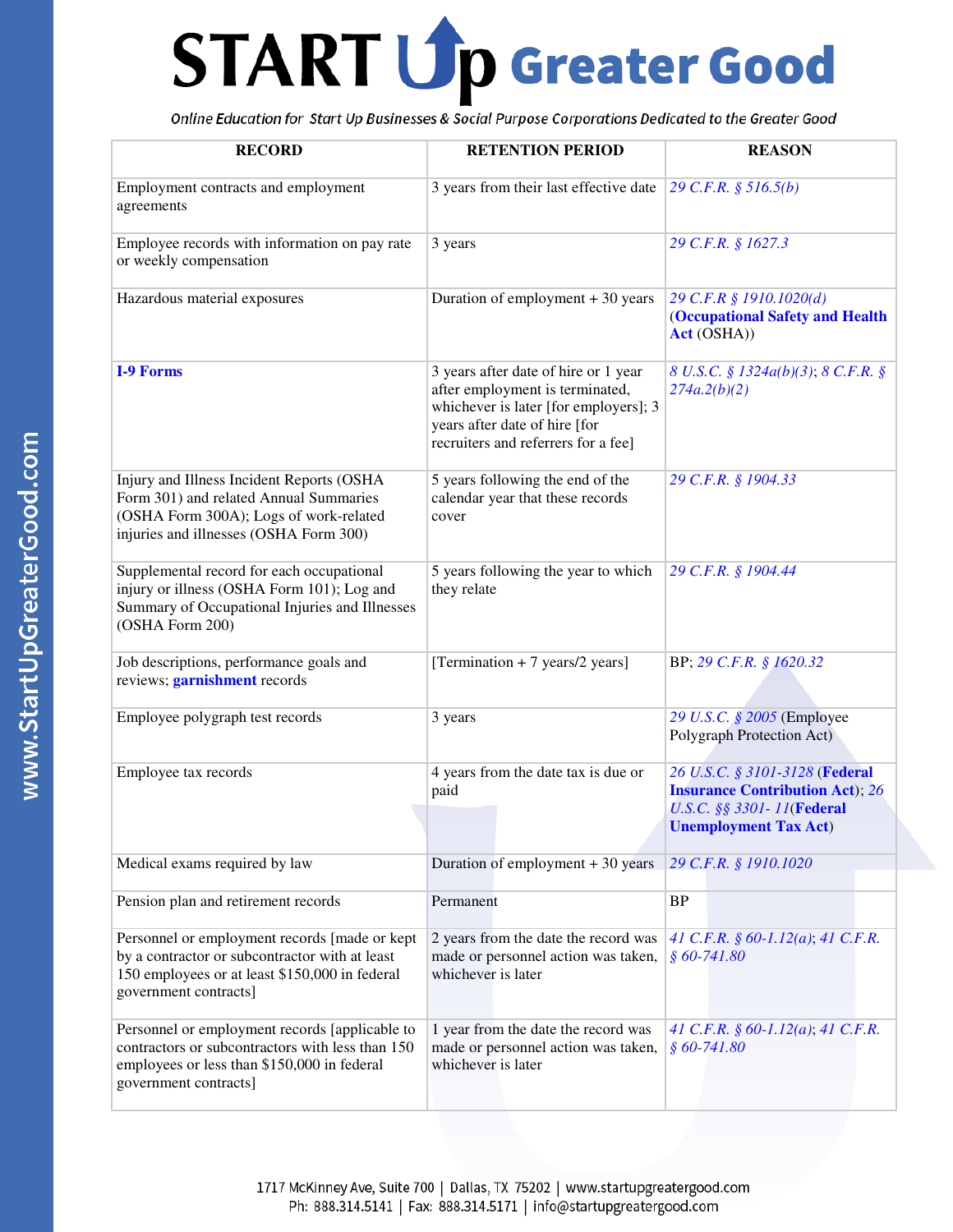| <b>RECORD</b>                                                                                                                                                              | <b>RETENTION PERIOD</b>                                                                                                                                                                  | <b>REASON</b>                                                                                                                          |
|----------------------------------------------------------------------------------------------------------------------------------------------------------------------------|------------------------------------------------------------------------------------------------------------------------------------------------------------------------------------------|----------------------------------------------------------------------------------------------------------------------------------------|
| Employment contracts and employment<br>agreements                                                                                                                          | 3 years from their last effective date                                                                                                                                                   | 29 C.F.R. $$516.5(b)$                                                                                                                  |
| Employee records with information on pay rate<br>or weekly compensation                                                                                                    | 3 years                                                                                                                                                                                  | 29 C.F.R. § 1627.3                                                                                                                     |
| Hazardous material exposures                                                                                                                                               | Duration of employment $+30$ years                                                                                                                                                       | 29 C.F.R § 1910.1020(d)<br><b>(Occupational Safety and Health</b><br>Act (OSHA))                                                       |
| <b>I-9 Forms</b>                                                                                                                                                           | 3 years after date of hire or 1 year<br>after employment is terminated,<br>whichever is later [for employers]; 3<br>years after date of hire [for<br>recruiters and referrers for a fee] | 8 U.S.C. § 1324a(b)(3); 8 C.F.R. §<br>274a.2(b)(2)                                                                                     |
| Injury and Illness Incident Reports (OSHA<br>Form 301) and related Annual Summaries<br>(OSHA Form 300A); Logs of work-related<br>injuries and illnesses (OSHA Form 300)    | 5 years following the end of the<br>calendar year that these records<br>cover                                                                                                            | 29 C.F.R. § 1904.33                                                                                                                    |
| Supplemental record for each occupational<br>injury or illness (OSHA Form 101); Log and<br>Summary of Occupational Injuries and Illnesses<br>(OSHA Form 200)               | 5 years following the year to which<br>they relate                                                                                                                                       | 29 C.F.R. § 1904.44                                                                                                                    |
| Job descriptions, performance goals and<br>reviews; <i>garnishment</i> records                                                                                             | [Termination $+7$ years/2 years]                                                                                                                                                         | BP; 29 C.F.R. § 1620.32                                                                                                                |
| Employee polygraph test records                                                                                                                                            | 3 years                                                                                                                                                                                  | 29 U.S.C. § 2005 (Employee<br>Polygraph Protection Act)                                                                                |
| Employee tax records                                                                                                                                                       | 4 years from the date tax is due or<br>paid                                                                                                                                              | 26 U.S.C. § 3101-3128 (Federal<br><b>Insurance Contribution Act</b> ); 26<br>U.S.C. §§ 3301-11(Federal<br><b>Unemployment Tax Act)</b> |
| Medical exams required by law                                                                                                                                              | Duration of employment $+30$ years                                                                                                                                                       | 29 C.F.R. § 1910.1020                                                                                                                  |
| Pension plan and retirement records                                                                                                                                        | Permanent                                                                                                                                                                                | <b>BP</b>                                                                                                                              |
| Personnel or employment records [made or kept<br>by a contractor or subcontractor with at least<br>150 employees or at least \$150,000 in federal<br>government contracts] | 2 years from the date the record was<br>made or personnel action was taken,<br>whichever is later                                                                                        | 41 C.F.R. § 60-1.12(a); 41 C.F.R.<br>$$60-741.80$                                                                                      |
| Personnel or employment records [applicable to<br>contractors or subcontractors with less than 150<br>employees or less than \$150,000 in federal<br>government contracts] | 1 year from the date the record was<br>made or personnel action was taken,<br>whichever is later                                                                                         | 41 C.F.R. § 60-1.12(a); 41 C.F.R.<br>$$60-741.80$                                                                                      |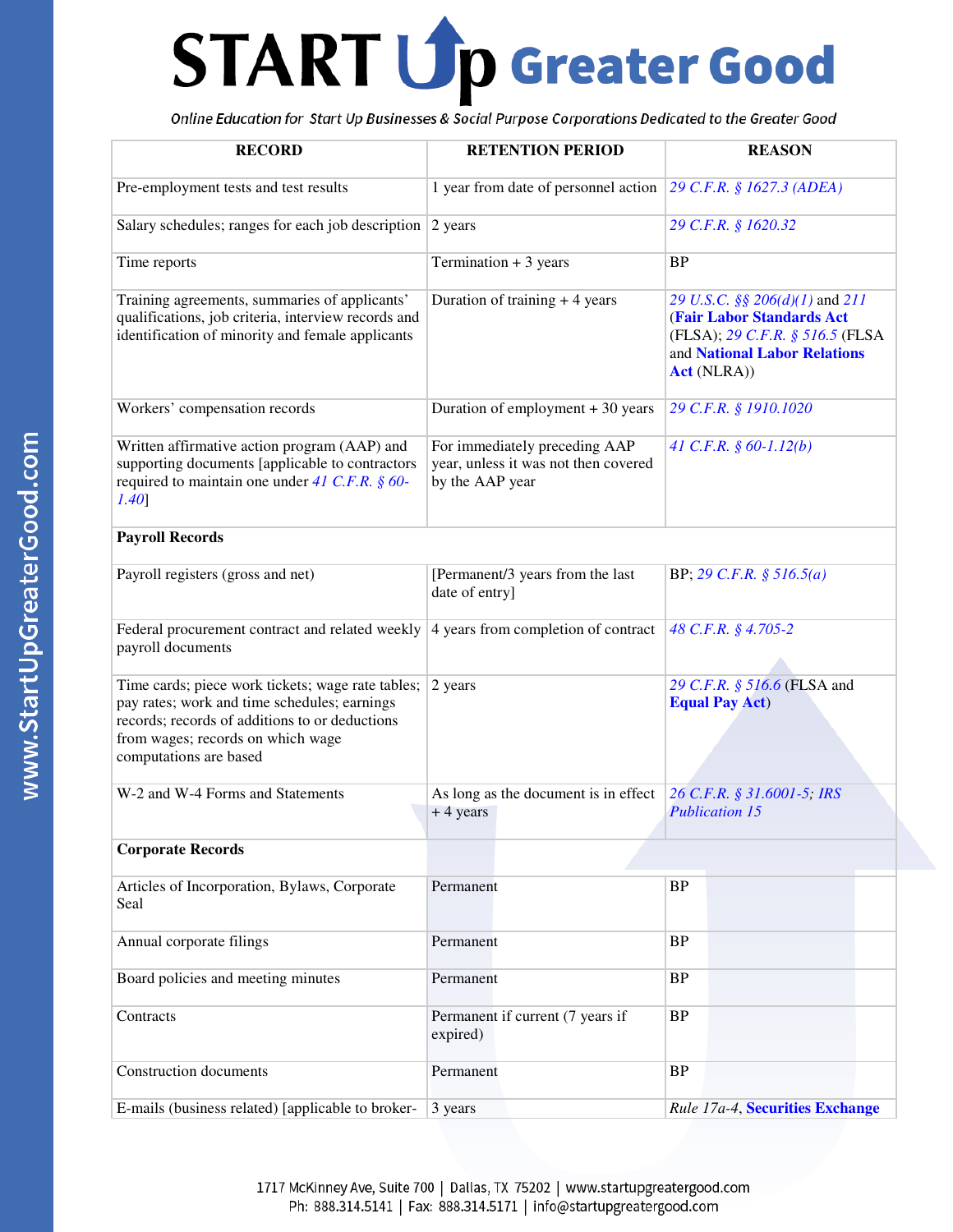| <b>RECORD</b>                                                                                                                                                                                                      | <b>RETENTION PERIOD</b>                                                                  | <b>REASON</b>                                                                                                                                                |
|--------------------------------------------------------------------------------------------------------------------------------------------------------------------------------------------------------------------|------------------------------------------------------------------------------------------|--------------------------------------------------------------------------------------------------------------------------------------------------------------|
| Pre-employment tests and test results                                                                                                                                                                              | 1 year from date of personnel action                                                     | 29 C.F.R. § 1627.3 (ADEA)                                                                                                                                    |
| Salary schedules; ranges for each job description                                                                                                                                                                  | 2 years                                                                                  | 29 C.F.R. § 1620.32                                                                                                                                          |
| Time reports                                                                                                                                                                                                       | Termination + 3 years                                                                    | <b>BP</b>                                                                                                                                                    |
| Training agreements, summaries of applicants'<br>qualifications, job criteria, interview records and<br>identification of minority and female applicants                                                           | Duration of training $+4$ years                                                          | 29 U.S.C. §§ 206(d)(1) and 211<br><b>(Fair Labor Standards Act)</b><br>(FLSA); 29 C.F.R. § 516.5 (FLSA<br>and National Labor Relations<br><b>Act</b> (NLRA)) |
| Workers' compensation records                                                                                                                                                                                      | Duration of employment + 30 years                                                        | 29 C.F.R. § 1910.1020                                                                                                                                        |
| Written affirmative action program (AAP) and<br>supporting documents [applicable to contractors<br>required to maintain one under 41 C.F.R. $\S$ 60-<br>$1.40$ ]                                                   | For immediately preceding AAP<br>year, unless it was not then covered<br>by the AAP year | 41 C.F.R. $\S$ 60-1.12(b)                                                                                                                                    |
| <b>Payroll Records</b>                                                                                                                                                                                             |                                                                                          |                                                                                                                                                              |
| Payroll registers (gross and net)                                                                                                                                                                                  | [Permanent/3 years from the last<br>date of entry]                                       | BP; 29 C.F.R. $$516.5(a)$                                                                                                                                    |
| Federal procurement contract and related weekly<br>payroll documents                                                                                                                                               | 4 years from completion of contract                                                      | 48 C.F.R. § 4.705-2                                                                                                                                          |
| Time cards; piece work tickets; wage rate tables;<br>pay rates; work and time schedules; earnings<br>records; records of additions to or deductions<br>from wages; records on which wage<br>computations are based | 2 years                                                                                  | 29 C.F.R. § 516.6 (FLSA and<br><b>Equal Pay Act)</b>                                                                                                         |
| W-2 and W-4 Forms and Statements                                                                                                                                                                                   | As long as the document is in effect<br>$+4$ years                                       | 26 C.F.R. § 31.6001-5; IRS<br><b>Publication 15</b>                                                                                                          |
| <b>Corporate Records</b>                                                                                                                                                                                           |                                                                                          |                                                                                                                                                              |
| Articles of Incorporation, Bylaws, Corporate<br>Seal                                                                                                                                                               | Permanent                                                                                | BP                                                                                                                                                           |
| Annual corporate filings                                                                                                                                                                                           | Permanent                                                                                | BP                                                                                                                                                           |
| Board policies and meeting minutes                                                                                                                                                                                 | Permanent                                                                                | BP                                                                                                                                                           |
| Contracts                                                                                                                                                                                                          | Permanent if current (7 years if<br>expired)                                             | BP                                                                                                                                                           |
| <b>Construction documents</b>                                                                                                                                                                                      | Permanent                                                                                | BP                                                                                                                                                           |
| E-mails (business related) [applicable to broker-                                                                                                                                                                  | 3 years                                                                                  | Rule 17a-4, Securities Exchange                                                                                                                              |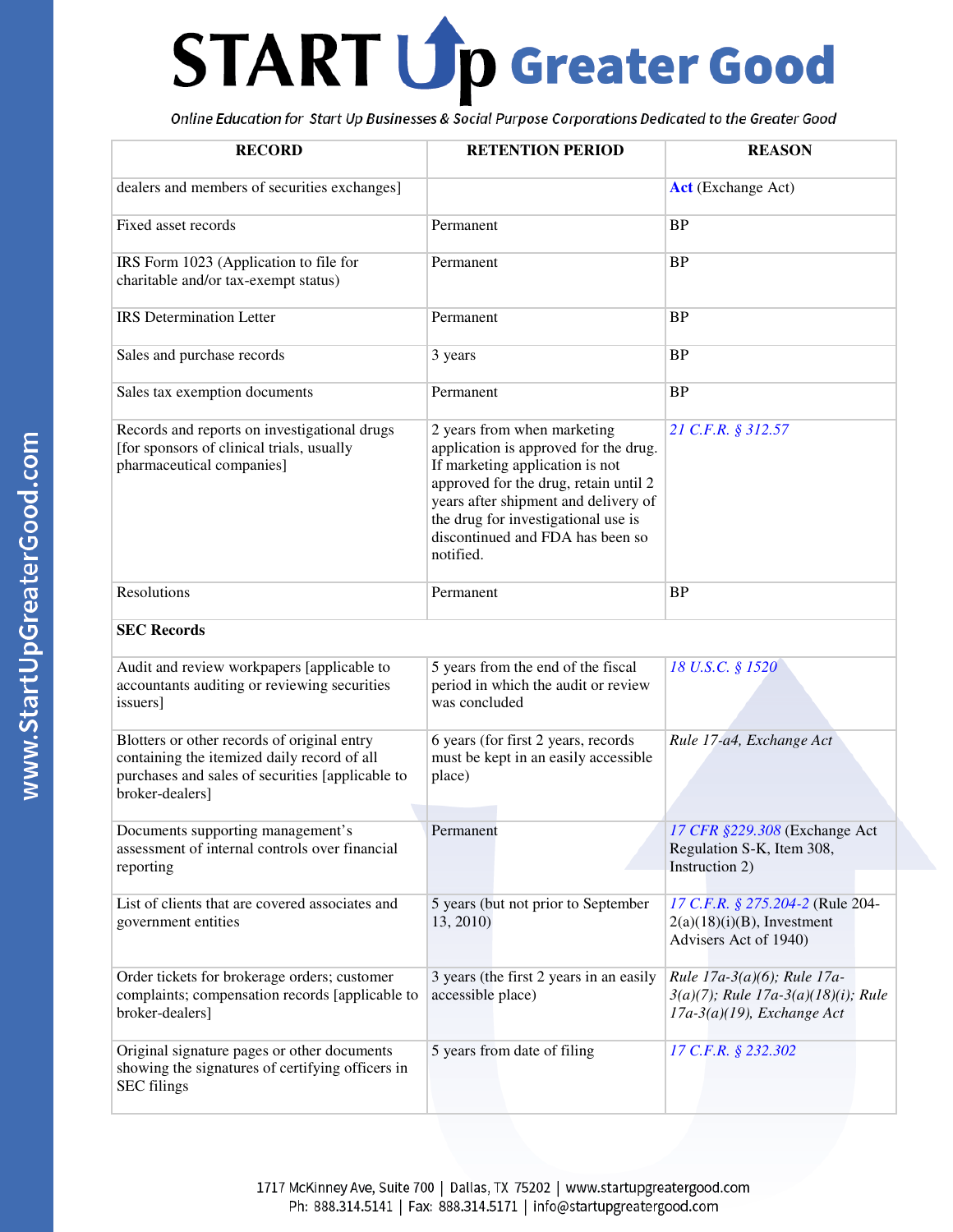| <b>RECORD</b>                                                                                                                                                     | <b>RETENTION PERIOD</b>                                                                                                                                                                                                                                                          | <b>REASON</b>                                                                                              |
|-------------------------------------------------------------------------------------------------------------------------------------------------------------------|----------------------------------------------------------------------------------------------------------------------------------------------------------------------------------------------------------------------------------------------------------------------------------|------------------------------------------------------------------------------------------------------------|
| dealers and members of securities exchanges]                                                                                                                      |                                                                                                                                                                                                                                                                                  | <b>Act</b> (Exchange Act)                                                                                  |
| Fixed asset records                                                                                                                                               | Permanent                                                                                                                                                                                                                                                                        | <b>BP</b>                                                                                                  |
| IRS Form 1023 (Application to file for<br>charitable and/or tax-exempt status)                                                                                    | Permanent                                                                                                                                                                                                                                                                        | <b>BP</b>                                                                                                  |
| <b>IRS</b> Determination Letter                                                                                                                                   | Permanent                                                                                                                                                                                                                                                                        | <b>BP</b>                                                                                                  |
| Sales and purchase records                                                                                                                                        | 3 years                                                                                                                                                                                                                                                                          | <b>BP</b>                                                                                                  |
| Sales tax exemption documents                                                                                                                                     | Permanent                                                                                                                                                                                                                                                                        | <b>BP</b>                                                                                                  |
| Records and reports on investigational drugs<br>[for sponsors of clinical trials, usually<br>pharmaceutical companies]                                            | 2 years from when marketing<br>application is approved for the drug.<br>If marketing application is not<br>approved for the drug, retain until 2<br>years after shipment and delivery of<br>the drug for investigational use is<br>discontinued and FDA has been so<br>notified. | 21 C.F.R. § 312.57                                                                                         |
| Resolutions                                                                                                                                                       | Permanent                                                                                                                                                                                                                                                                        | <b>BP</b>                                                                                                  |
| <b>SEC Records</b>                                                                                                                                                |                                                                                                                                                                                                                                                                                  |                                                                                                            |
| Audit and review workpapers [applicable to<br>accountants auditing or reviewing securities<br>issuers]                                                            | 5 years from the end of the fiscal<br>period in which the audit or review<br>was concluded                                                                                                                                                                                       | 18 U.S.C. § 1520                                                                                           |
| Blotters or other records of original entry<br>containing the itemized daily record of all<br>purchases and sales of securities [applicable to<br>broker-dealers] | 6 years (for first 2 years, records<br>must be kept in an easily accessible<br>place)                                                                                                                                                                                            | Rule 17-a4, Exchange Act                                                                                   |
| Documents supporting management's<br>assessment of internal controls over financial<br>reporting                                                                  | Permanent                                                                                                                                                                                                                                                                        | 17 CFR §229.308 (Exchange Act<br>Regulation S-K, Item 308,<br>Instruction 2)                               |
| List of clients that are covered associates and<br>government entities                                                                                            | 5 years (but not prior to September<br>13, 2010)                                                                                                                                                                                                                                 | 17 C.F.R. § 275.204-2 (Rule 204-<br>$2(a)(18)(i)(B)$ , Investment<br>Advisers Act of 1940)                 |
| Order tickets for brokerage orders; customer<br>complaints; compensation records [applicable to<br>broker-dealers]                                                | 3 years (the first 2 years in an easily<br>accessible place)                                                                                                                                                                                                                     | Rule 17a-3(a)(6); Rule 17a-<br>$3(a)(7)$ ; Rule 17a-3 $(a)(18)(i)$ ; Rule<br>$17a-3(a)(19)$ , Exchange Act |
| Original signature pages or other documents<br>showing the signatures of certifying officers in<br><b>SEC</b> filings                                             | 5 years from date of filing                                                                                                                                                                                                                                                      | 17 C.F.R. § 232.302                                                                                        |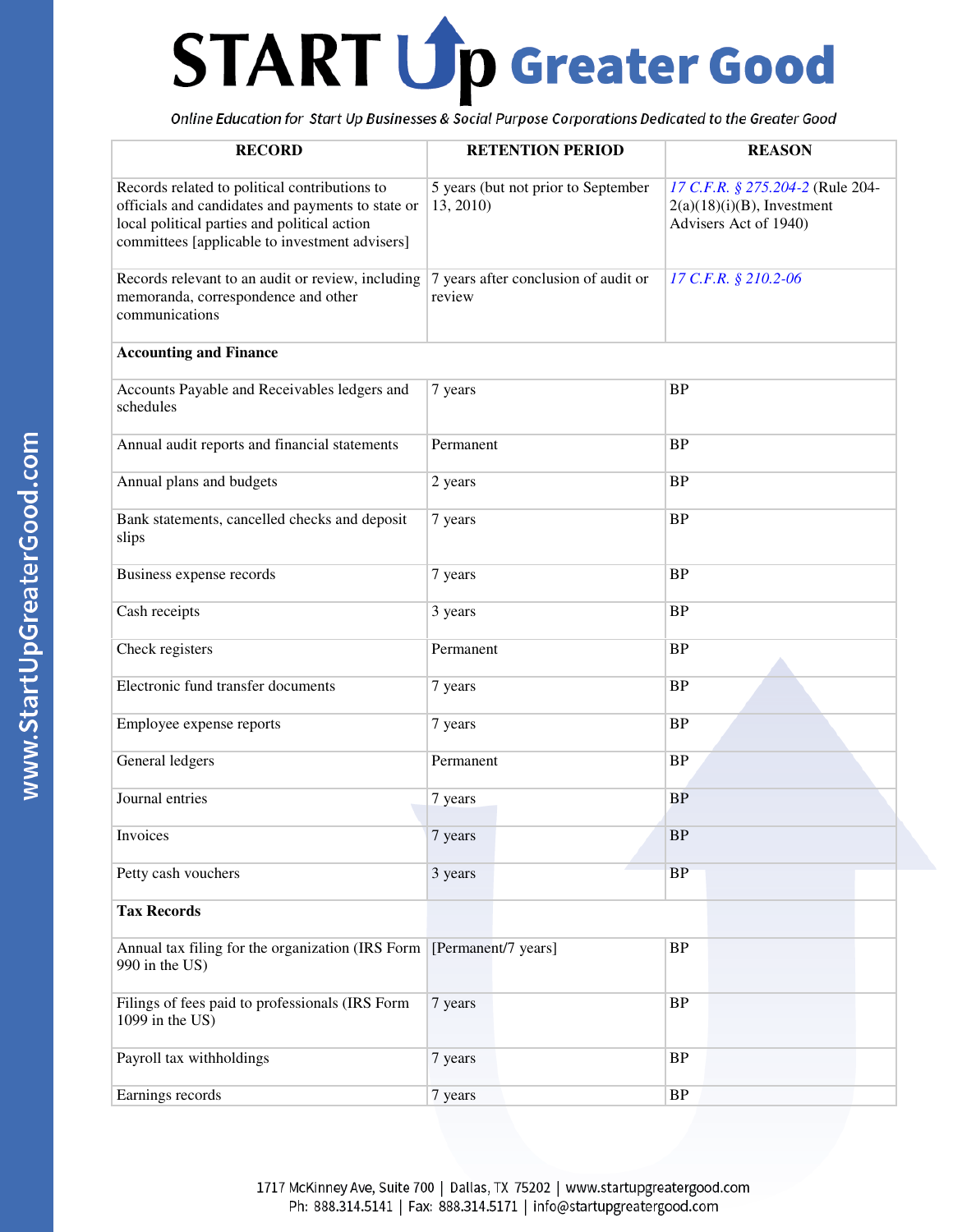| <b>RECORD</b>                                                                                                                                                                                        | <b>RETENTION PERIOD</b>                          | <b>REASON</b>                                                                              |
|------------------------------------------------------------------------------------------------------------------------------------------------------------------------------------------------------|--------------------------------------------------|--------------------------------------------------------------------------------------------|
| Records related to political contributions to<br>officials and candidates and payments to state or<br>local political parties and political action<br>committees [applicable to investment advisers] | 5 years (but not prior to September<br>13, 2010) | 17 C.F.R. § 275.204-2 (Rule 204-<br>$2(a)(18)(i)(B)$ , Investment<br>Advisers Act of 1940) |
| Records relevant to an audit or review, including<br>memoranda, correspondence and other<br>communications                                                                                           | 7 years after conclusion of audit or<br>review   | 17 C.F.R. § 210.2-06                                                                       |
| <b>Accounting and Finance</b>                                                                                                                                                                        |                                                  |                                                                                            |
| Accounts Payable and Receivables ledgers and<br>schedules                                                                                                                                            | 7 years                                          | <b>BP</b>                                                                                  |
| Annual audit reports and financial statements                                                                                                                                                        | Permanent                                        | <b>BP</b>                                                                                  |
| Annual plans and budgets                                                                                                                                                                             | 2 years                                          | <b>BP</b>                                                                                  |
| Bank statements, cancelled checks and deposit<br>slips                                                                                                                                               | 7 years                                          | <b>BP</b>                                                                                  |
| Business expense records                                                                                                                                                                             | 7 years                                          | <b>BP</b>                                                                                  |
| Cash receipts                                                                                                                                                                                        | 3 years                                          | <b>BP</b>                                                                                  |
| Check registers                                                                                                                                                                                      | Permanent                                        | <b>BP</b>                                                                                  |
| Electronic fund transfer documents                                                                                                                                                                   | 7 years                                          | <b>BP</b>                                                                                  |
| Employee expense reports                                                                                                                                                                             | 7 years                                          | <b>BP</b>                                                                                  |
| General ledgers                                                                                                                                                                                      | Permanent                                        | <b>BP</b>                                                                                  |
| Journal entries                                                                                                                                                                                      | 7 years                                          | <b>BP</b>                                                                                  |
| Invoices                                                                                                                                                                                             | 7 years                                          | BP                                                                                         |
| Petty cash vouchers                                                                                                                                                                                  | 3 years                                          | BP                                                                                         |
| <b>Tax Records</b>                                                                                                                                                                                   |                                                  |                                                                                            |
| Annual tax filing for the organization (IRS Form<br>990 in the US)                                                                                                                                   | [Permanent/7 years]                              | <b>BP</b>                                                                                  |
| Filings of fees paid to professionals (IRS Form<br>1099 in the US)                                                                                                                                   | 7 years                                          | $\rm BP$                                                                                   |
| Payroll tax withholdings                                                                                                                                                                             | 7 years                                          | BP                                                                                         |
| Earnings records                                                                                                                                                                                     | 7 years                                          | <b>BP</b>                                                                                  |